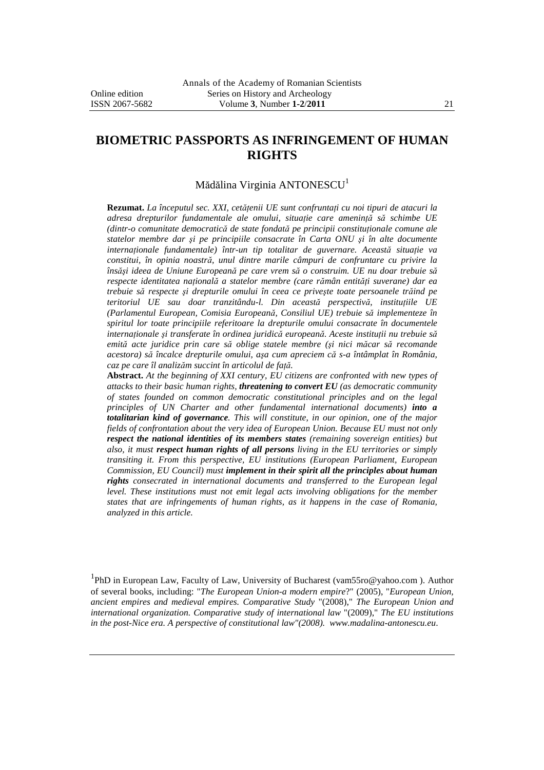# **BIOMETRIC PASSPORTS AS INFRINGEMENT OF HUMAN RIGHTS**

#### Mădălina Virginia ANTONESCU<sup>1</sup>

**Rezumat.** *La începutul sec. XXI, cetăţenii UE sunt confruntaţi cu noi tipuri de atacuri la adresa drepturilor fundamentale ale omului, situaţie care ameninţă să schimbe UE (dintr-o comunitate democratică de state fondată pe principii constituţionale comune ale statelor membre dar şi pe principiile consacrate în Carta ONU şi în alte documente internaţionale fundamentale) într-un tip totalitar de guvernare. Această situaţie va constitui, în opinia noastră, unul dintre marile câmpuri de confruntare cu privire la însăşi ideea de Uniune Europeană pe care vrem să o construim. UE nu doar trebuie să respecte identitatea naţională a statelor membre (care rămân entităţi suverane) dar ea trebuie să respecte şi drepturile omului în ceea ce priveşte toate persoanele trăind pe teritoriul UE sau doar tranzitându-l. Din această perspectivă, instituţiile UE (Parlamentul European, Comisia Europeană, Consiliul UE) trebuie să implementeze în spiritul lor toate principiile referitoare la drepturile omului consacrate în documentele internaţionale şi transferate în ordinea juridică europeană. Aceste instituţii nu trebuie să emită acte juridice prin care să oblige statele membre (şi nici măcar să recomande acestora) să încalce drepturile omului, aşa cum apreciem că s-a întâmplat în România, caz pe care îl analizăm succint în articolul de faţă.* 

**Abstract.** *At the beginning of XXI century, EU citizens are confronted with new types of attacks to their basic human rights, threatening to convert EU (as democratic community of states founded on common democratic constitutional principles and on the legal principles of UN Charter and other fundamental international documents) into a totalitarian kind of governance. This will constitute, in our opinion, one of the major fields of confrontation about the very idea of European Union. Because EU must not only respect the national identities of its members states (remaining sovereign entities) but also, it must respect human rights of all persons living in the EU territories or simply transiting it. From this perspective, EU institutions (European Parliament, European Commission, EU Council) must implement in their spirit all the principles about human rights consecrated in international documents and transferred to the European legal level. These institutions must not emit legal acts involving obligations for the member states that are infringements of human rights, as it happens in the case of Romania, analyzed in this article.* 

<sup>1</sup>PhD in European Law, Faculty of Law, University of Bucharest (vam55ro@yahoo.com). Author of several books, including: "*The European Union-a modern empire*?" (2005), "*European Union, ancient empires and medieval empires. Comparative Study* "(2008)," *The European Union and international organization. Comparative study of international law* "(2009)," *The EU institutions in the post-Nice era. A perspective of constitutional law"(2008). www.madalina-antonescu.eu*.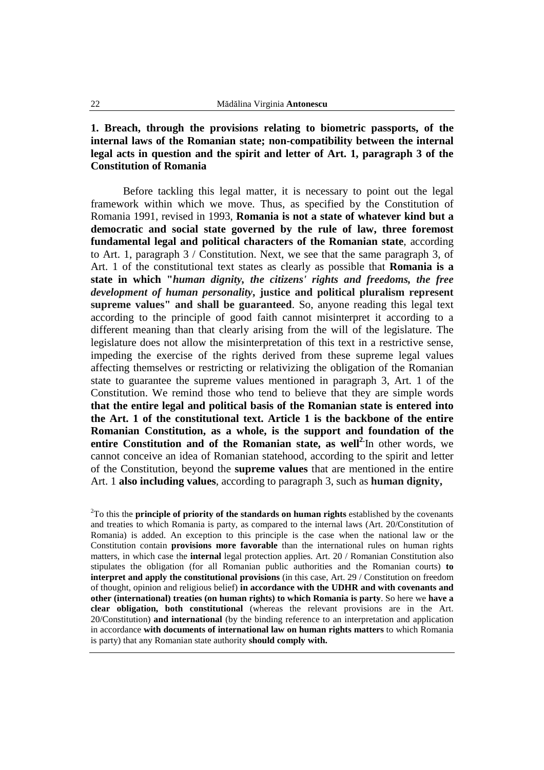## **1. Breach, through the provisions relating to biometric passports, of the internal laws of the Romanian state; non-compatibility between the internal legal acts in question and the spirit and letter of Art. 1, paragraph 3 of the Constitution of Romania**

Before tackling this legal matter, it is necessary to point out the legal framework within which we move. Thus, as specified by the Constitution of Romania 1991, revised in 1993, **Romania is not a state of whatever kind but a democratic and social state governed by the rule of law, three foremost fundamental legal and political characters of the Romanian state**, according to Art. 1, paragraph 3 / Constitution. Next, we see that the same paragraph 3, of Art. 1 of the constitutional text states as clearly as possible that **Romania is a state in which "***human dignity, the citizens' rights and freedoms, the free development of human personality***, justice and political pluralism represent supreme values" and shall be guaranteed**. So, anyone reading this legal text according to the principle of good faith cannot misinterpret it according to a different meaning than that clearly arising from the will of the legislature. The legislature does not allow the misinterpretation of this text in a restrictive sense, impeding the exercise of the rights derived from these supreme legal values affecting themselves or restricting or relativizing the obligation of the Romanian state to guarantee the supreme values mentioned in paragraph 3, Art. 1 of the Constitution. We remind those who tend to believe that they are simple words **that the entire legal and political basis of the Romanian state is entered into the Art. 1 of the constitutional text. Article 1 is the backbone of the entire Romanian Constitution, as a whole, is the support and foundation of the entire Constitution and of the Romanian state, as well2.**In other words, we cannot conceive an idea of Romanian statehood, according to the spirit and letter of the Constitution, beyond the **supreme values** that are mentioned in the entire Art. 1 **also including values**, according to paragraph 3, such as **human dignity,** 

<sup>2</sup>To this the **principle of priority of the standards on human rights** established by the covenants and treaties to which Romania is party, as compared to the internal laws (Art. 20/Constitution of Romania) is added. An exception to this principle is the case when the national law or the Constitution contain **provisions more favorable** than the international rules on human rights matters, in which case the **internal** legal protection applies. Art. 20 / Romanian Constitution also stipulates the obligation (for all Romanian public authorities and the Romanian courts) **to interpret and apply the constitutional provisions** (in this case, Art. 29 / Constitution on freedom of thought, opinion and religious belief) **in accordance with the UDHR and with covenants and other (international) treaties (on human rights) to which Romania is party**. So here we **have a clear obligation, both constitutional** (whereas the relevant provisions are in the Art. 20/Constitution) **and international** (by the binding reference to an interpretation and application in accordance **with documents of international law on human rights matters** to which Romania is party) that any Romanian state authority **should comply with.**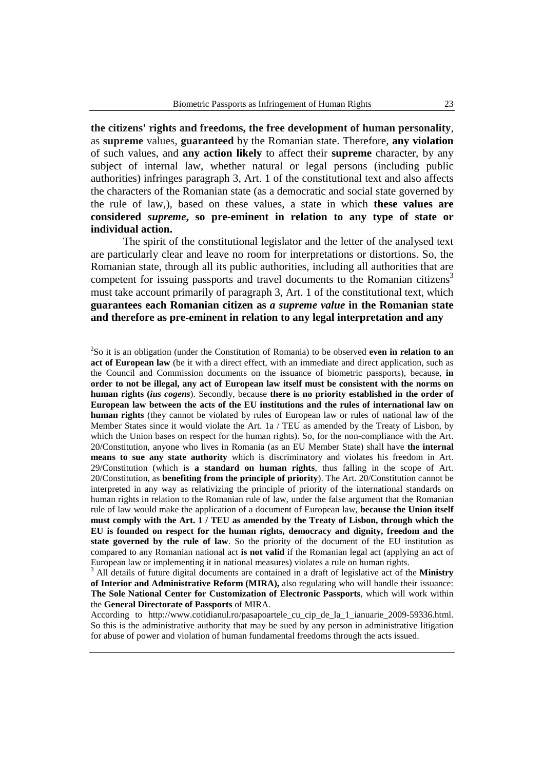**the citizens' rights and freedoms, the free development of human personality**, as **supreme** values, **guaranteed** by the Romanian state. Therefore, **any violation** of such values, and **any action likely** to affect their **supreme** character, by any subject of internal law, whether natural or legal persons (including public authorities) infringes paragraph 3, Art. 1 of the constitutional text and also affects the characters of the Romanian state (as a democratic and social state governed by the rule of law,), based on these values, a state in which **these values are considered** *supreme***, so pre-eminent in relation to any type of state or individual action.** 

The spirit of the constitutional legislator and the letter of the analysed text are particularly clear and leave no room for interpretations or distortions. So, the Romanian state, through all its public authorities, including all authorities that are competent for issuing passports and travel documents to the Romanian citizens<sup>3</sup> must take account primarily of paragraph 3, Art. 1 of the constitutional text, which **guarantees each Romanian citizen as** *a supreme value* **in the Romanian state and therefore as pre-eminent in relation to any legal interpretation and any**

2 So it is an obligation (under the Constitution of Romania) to be observed **even in relation to an act of European law** (be it with a direct effect, with an immediate and direct application, such as the Council and Commission documents on the issuance of biometric passports), because, **in order to not be illegal, any act of European law itself must be consistent with the norms on human rights (***ius cogens*). Secondly, because **there is no priority established in the order of European law between the acts of the EU institutions and the rules of international law on human rights** (they cannot be violated by rules of European law or rules of national law of the Member States since it would violate the Art. 1a / TEU as amended by the Treaty of Lisbon, by which the Union bases on respect for the human rights). So, for the non-compliance with the Art. 20/Constitution, anyone who lives in Romania (as an EU Member State) shall have **the internal means to sue any state authority** which is discriminatory and violates his freedom in Art. 29/Constitution (which is **a standard on human rights**, thus falling in the scope of Art. 20/Constitution, as **benefiting from the principle of priority**). The Art. 20/Constitution cannot be interpreted in any way as relativizing the principle of priority of the international standards on human rights in relation to the Romanian rule of law, under the false argument that the Romanian rule of law would make the application of a document of European law, **because the Union itself must comply with the Art. 1 / TEU as amended by the Treaty of Lisbon, through which the EU is founded on respect for the human rights, democracy and dignity, freedom and the state governed by the rule of law**. So the priority of the document of the EU institution as compared to any Romanian national act **is not valid** if the Romanian legal act (applying an act of European law or implementing it in national measures) violates a rule on human rights.

3 All details of future digital documents are contained in a draft of legislative act of the **Ministry of Interior and Administrative Reform (MIRA),** also regulating who will handle their issuance: **The Sole National Center for Customization of Electronic Passports**, which will work within the **General Directorate of Passports** of MIRA.

According to http://www.cotidianul.ro/pasapoartele\_cu\_cip\_de\_la\_1\_ianuarie\_2009-59336.html. So this is the administrative authority that may be sued by any person in administrative litigation for abuse of power and violation of human fundamental freedoms through the acts issued.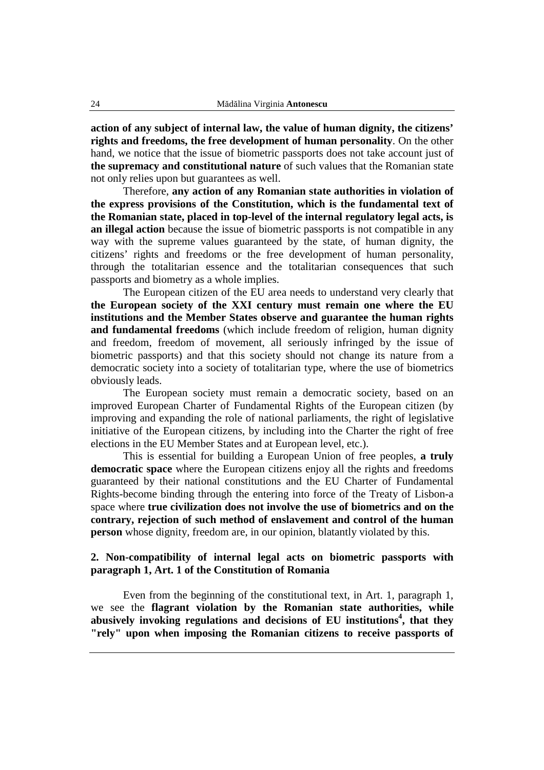**action of any subject of internal law, the value of human dignity, the citizens' rights and freedoms, the free development of human personality**. On the other hand, we notice that the issue of biometric passports does not take account just of **the supremacy and constitutional nature** of such values that the Romanian state not only relies upon but guarantees as well.

Therefore, **any action of any Romanian state authorities in violation of the express provisions of the Constitution, which is the fundamental text of the Romanian state, placed in top-level of the internal regulatory legal acts, is an illegal action** because the issue of biometric passports is not compatible in any way with the supreme values guaranteed by the state, of human dignity, the citizens' rights and freedoms or the free development of human personality, through the totalitarian essence and the totalitarian consequences that such passports and biometry as a whole implies.

The European citizen of the EU area needs to understand very clearly that **the European society of the XXI century must remain one where the EU institutions and the Member States observe and guarantee the human rights and fundamental freedoms** (which include freedom of religion, human dignity and freedom, freedom of movement, all seriously infringed by the issue of biometric passports) and that this society should not change its nature from a democratic society into a society of totalitarian type, where the use of biometrics obviously leads.

The European society must remain a democratic society, based on an improved European Charter of Fundamental Rights of the European citizen (by improving and expanding the role of national parliaments, the right of legislative initiative of the European citizens, by including into the Charter the right of free elections in the EU Member States and at European level, etc.).

This is essential for building a European Union of free peoples, **a truly democratic space** where the European citizens enjoy all the rights and freedoms guaranteed by their national constitutions and the EU Charter of Fundamental Rights-become binding through the entering into force of the Treaty of Lisbon-a space where **true civilization does not involve the use of biometrics and on the contrary, rejection of such method of enslavement and control of the human person** whose dignity, freedom are, in our opinion, blatantly violated by this.

## **2. Non-compatibility of internal legal acts on biometric passports with paragraph 1, Art. 1 of the Constitution of Romania**

Even from the beginning of the constitutional text, in Art. 1, paragraph 1, we see the **flagrant violation by the Romanian state authorities, while abusively invoking regulations and decisions of EU institutions<sup>4</sup> , that they "rely" upon when imposing the Romanian citizens to receive passports of**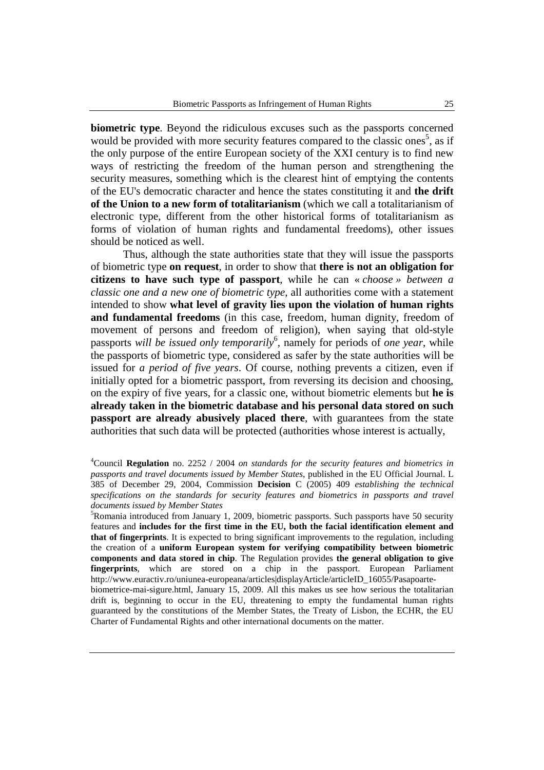**biometric type**. Beyond the ridiculous excuses such as the passports concerned would be provided with more security features compared to the classic ones<sup>5</sup>, as if the only purpose of the entire European society of the XXI century is to find new ways of restricting the freedom of the human person and strengthening the security measures, something which is the clearest hint of emptying the contents of the EU's democratic character and hence the states constituting it and **the drift of the Union to a new form of totalitarianism** (which we call a totalitarianism of electronic type, different from the other historical forms of totalitarianism as forms of violation of human rights and fundamental freedoms), other issues should be noticed as well.

Thus, although the state authorities state that they will issue the passports of biometric type **on request**, in order to show that **there is not an obligation for citizens to have such type of passport**, while he can « *choose » between a classic one and a new one of biometric type*, all authorities come with a statement intended to show **what level of gravity lies upon the violation of human rights and fundamental freedoms** (in this case, freedom, human dignity, freedom of movement of persons and freedom of religion), when saying that old-style passports *will be issued only temporarily*<sup>6</sup> , namely for periods of *one year*, while the passports of biometric type, considered as safer by the state authorities will be issued for *a period of five years*. Of course, nothing prevents a citizen, even if initially opted for a biometric passport, from reversing its decision and choosing, on the expiry of five years, for a classic one, without biometric elements but **he is already taken in the biometric database and his personal data stored on such passport are already abusively placed there**, with guarantees from the state authorities that such data will be protected (authorities whose interest is actually,

 ${}^{5}$ Romania introduced from January 1, 2009, biometric passports. Such passports have 50 security features and **includes for the first time in the EU, both the facial identification element and that of fingerprints**. It is expected to bring significant improvements to the regulation, including the creation of a **uniform European system for verifying compatibility between biometric components and data stored in chip**. The Regulation provides **the general obligation to give fingerprints**, which are stored on a chip in the passport. European Parliament http://www.euractiv.ro/uniunea-europeana/articles|displayArticle/articleID\_16055/Pasapoartebiometrice-mai-sigure.html, January 15, 2009. All this makes us see how serious the totalitarian drift is, beginning to occur in the EU, threatening to empty the fundamental human rights guaranteed by the constitutions of the Member States, the Treaty of Lisbon, the ECHR, the EU Charter of Fundamental Rights and other international documents on the matter.

<sup>4</sup>Council **Regulation** no. 2252 / 2004 *on standards for the security features and biometrics in passports and travel documents issued by Member States*, published in the EU Official Journal. L 385 of December 29, 2004, Commission **Decision** C (2005) 409 *establishing the technical specifications on the standards for security features and biometrics in passports and travel documents issued by Member States*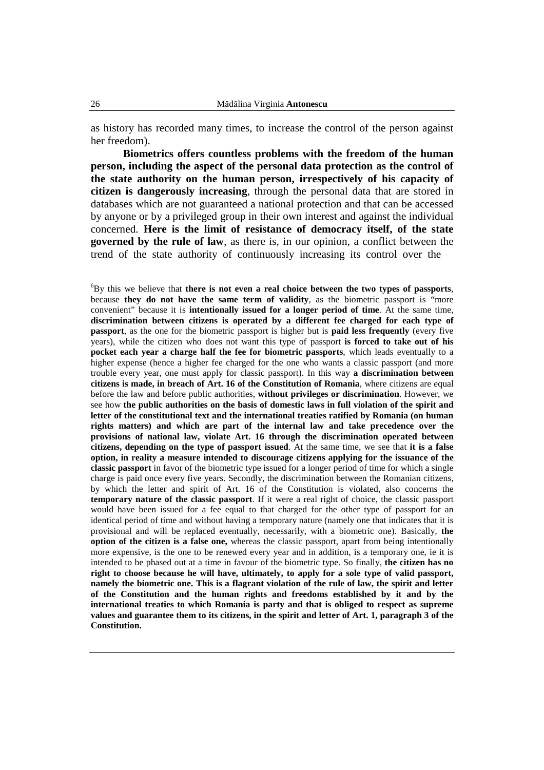as history has recorded many times, to increase the control of the person against her freedom).

**Biometrics offers countless problems with the freedom of the human person, including the aspect of the personal data protection as the control of the state authority on the human person, irrespectively of his capacity of citizen is dangerously increasing**, through the personal data that are stored in databases which are not guaranteed a national protection and that can be accessed by anyone or by a privileged group in their own interest and against the individual concerned. **Here is the limit of resistance of democracy itself, of the state governed by the rule of law**, as there is, in our opinion, a conflict between the trend of the state authority of continuously increasing its control over the

<sup>6</sup>By this we believe that **there is not even a real choice between the two types of passports**, because **they do not have the same term of validity**, as the biometric passport is "more convenient" because it is **intentionally issued for a longer period of time**. At the same time, **discrimination between citizens is operated by a different fee charged for each type of passport**, as the one for the biometric passport is higher but is **paid less frequently** (every five years), while the citizen who does not want this type of passport **is forced to take out of his pocket each year a charge half the fee for biometric passports**, which leads eventually to a higher expense (hence a higher fee charged for the one who wants a classic passport (and more trouble every year, one must apply for classic passport). In this way **a discrimination between citizens is made, in breach of Art. 16 of the Constitution of Romania**, where citizens are equal before the law and before public authorities, **without privileges or discrimination**. However, we see how **the public authorities on the basis of domestic laws in full violation of the spirit and letter of the constitutional text and the international treaties ratified by Romania (on human rights matters) and which are part of the internal law and take precedence over the provisions of national law, violate Art. 16 through the discrimination operated between citizens, depending on the type of passport issued**. At the same time, we see that **it is a false option, in reality a measure intended to discourage citizens applying for the issuance of the classic passport** in favor of the biometric type issued for a longer period of time for which a single charge is paid once every five years. Secondly, the discrimination between the Romanian citizens, by which the letter and spirit of Art. 16 of the Constitution is violated, also concerns the **temporary nature of the classic passport**. If it were a real right of choice, the classic passport would have been issued for a fee equal to that charged for the other type of passport for an identical period of time and without having a temporary nature (namely one that indicates that it is provisional and will be replaced eventually, necessarily, with a biometric one). Basically, **the option of the citizen is a false one,** whereas the classic passport, apart from being intentionally more expensive, is the one to be renewed every year and in addition, is a temporary one, ie it is intended to be phased out at a time in favour of the biometric type. So finally, **the citizen has no right to choose because he will have, ultimately, to apply for a sole type of valid passport, namely the biometric one. This is a flagrant violation of the rule of law, the spirit and letter of the Constitution and the human rights and freedoms established by it and by the international treaties to which Romania is party and that is obliged to respect as supreme values and guarantee them to its citizens, in the spirit and letter of Art. 1, paragraph 3 of the Constitution.**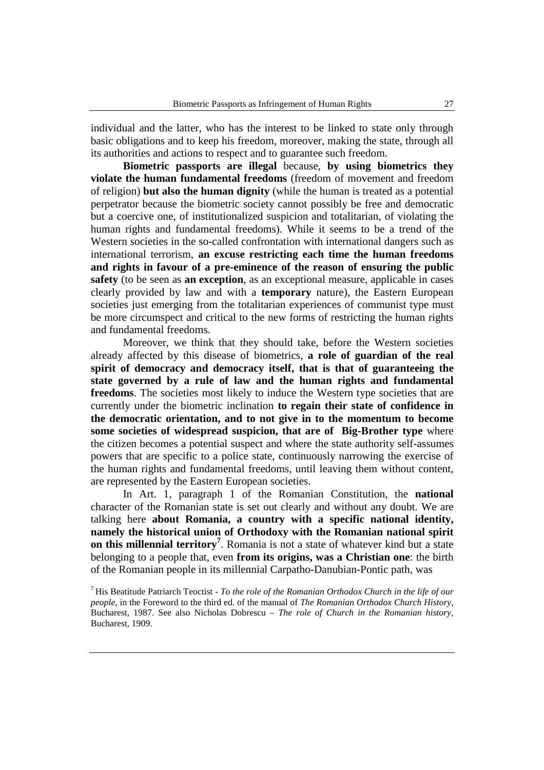individual and the latter, who has the interest to be linked to state only through basic obligations and to keep his freedom, moreover, making the state, through all its authorities and actions to respect and to guarantee such freedom.

**Biometric passports are illegal** because, **by using biometrics they violate the human fundamental freedoms** (freedom of movement and freedom of religion) **but also the human dignity** (while the human is treated as a potential perpetrator because the biometric society cannot possibly be free and democratic but a coercive one, of institutionalized suspicion and totalitarian, of violating the human rights and fundamental freedoms). While it seems to be a trend of the Western societies in the so-called confrontation with international dangers such as international terrorism, **an excuse restricting each time the human freedoms and rights in favour of a pre-eminence of the reason of ensuring the public safety** (to be seen as **an exception**, as an exceptional measure, applicable in cases clearly provided by law and with a **temporary** nature), the Eastern European societies just emerging from the totalitarian experiences of communist type must be more circumspect and critical to the new forms of restricting the human rights and fundamental freedoms.

Moreover, we think that they should take, before the Western societies already affected by this disease of biometrics, **a role of guardian of the real spirit of democracy and democracy itself, that is that of guaranteeing the state governed by a rule of law and the human rights and fundamental freedoms**. The societies most likely to induce the Western type societies that are currently under the biometric inclination **to regain their state of confidence in the democratic orientation, and to not give in to the momentum to become some societies of widespread suspicion, that are of Big-Brother type** where the citizen becomes a potential suspect and where the state authority self-assumes powers that are specific to a police state, continuously narrowing the exercise of the human rights and fundamental freedoms, until leaving them without content, are represented by the Eastern European societies.

In Art. 1, paragraph 1 of the Romanian Constitution, the **national** character of the Romanian state is set out clearly and without any doubt. We are talking here **about Romania, a country with a specific national identity, namely the historical union of Orthodoxy with the Romanian national spirit on this millennial territory<sup>7</sup>** . Romania is not a state of whatever kind but a state belonging to a people that, even **from its origins, was a Christian one**: the birth of the Romanian people in its millennial Carpatho-Danubian-Pontic path, was

<sup>7</sup>His Beatitude Patriarch Teoctist - *To the role of the Romanian Orthodox Church in the life of our people*, in the Foreword to the third ed. of the manual of *The Romanian Orthodox Church History*, Bucharest, 1987. See also Nicholas Dobrescu – *The role of Church in the Romanian history*, Bucharest, 1909.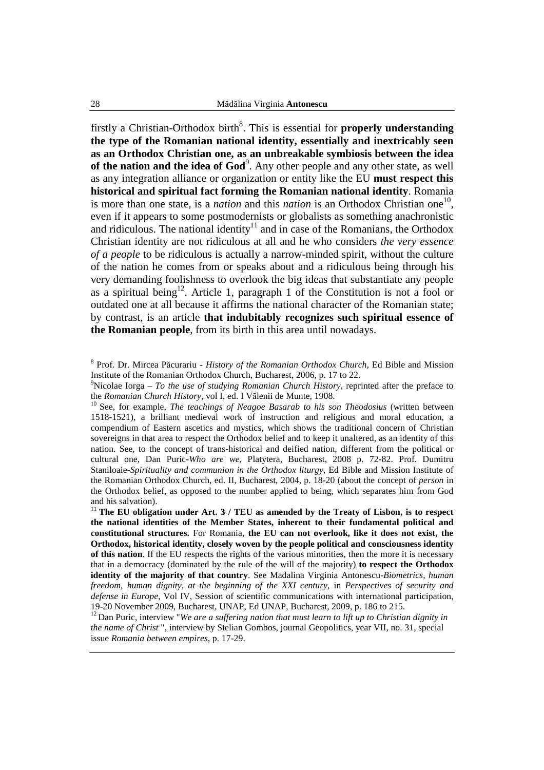firstly a Christian-Orthodox birth<sup>8</sup>. This is essential for **properly understanding the type of the Romanian national identity, essentially and inextricably seen as an Orthodox Christian one, as an unbreakable symbiosis between the idea**  of the nation and the idea of God<sup>9</sup>. Any other people and any other state, as well as any integration alliance or organization or entity like the EU **must respect this historical and spiritual fact forming the Romanian national identity**. Romania is more than one state, is a *nation* and this *nation* is an Orthodox Christian one<sup>10</sup>, even if it appears to some postmodernists or globalists as something anachronistic and ridiculous. The national identity<sup>11</sup> and in case of the Romanians, the Orthodox Christian identity are not ridiculous at all and he who considers *the very essence of a people* to be ridiculous is actually a narrow-minded spirit, without the culture of the nation he comes from or speaks about and a ridiculous being through his very demanding foolishness to overlook the big ideas that substantiate any people as a spiritual being<sup>12</sup>. Article 1, paragraph 1 of the Constitution is not a fool or outdated one at all because it affirms the national character of the Romanian state; by contrast, is an article **that indubitably recognizes such spiritual essence of the Romanian people**, from its birth in this area until nowadays.

8 Prof. Dr. Mircea Păcurariu - *History of the Romanian Orthodox Church*, Ed Bible and Mission Institute of the Romanian Orthodox Church, Bucharest, 2006, p. 17 to 22.

<sup>9</sup>Nicolae Iorga – *To the use of studying Romanian Church History*, reprinted after the preface to the *Romanian Church History*, vol I, ed. I Vălenii de Munte, 1908.

<sup>10</sup> See, for example, *The teachings of Neagoe Basarab to his son Theodosius* (written between 1518-1521), a brilliant medieval work of instruction and religious and moral education, a compendium of Eastern ascetics and mystics, which shows the traditional concern of Christian sovereigns in that area to respect the Orthodox belief and to keep it unaltered, as an identity of this nation. See, to the concept of trans-historical and deified nation, different from the political or cultural one, Dan Puric-*Who are we*, Platytera, Bucharest, 2008 p. 72-82. Prof. Dumitru Staniloaie-*Spirituality and communion in the Orthodox liturgy*, Ed Bible and Mission Institute of the Romanian Orthodox Church, ed. II, Bucharest, 2004, p. 18-20 (about the concept of *person* in the Orthodox belief, as opposed to the number applied to being, which separates him from God and his salvation).

<sup>11</sup> The EU obligation under Art.  $3 / TEU$  as amended by the Treaty of Lisbon, is to respect **the national identities of the Member States, inherent to their fundamental political and constitutional structures.** For Romania, **the EU can not overlook, like it does not exist, the Orthodox, historical identity, closely woven by the people political and consciousness identity of this nation**. If the EU respects the rights of the various minorities, then the more it is necessary that in a democracy (dominated by the rule of the will of the majority) **to respect the Orthodox identity of the majority of that country**. See Madalina Virginia Antonescu-*Biometrics, human freedom, human dignity, at the beginning of the XXI century,* in *Perspectives of security and defense in Europe*, Vol IV, Session of scientific communications with international participation, 19-20 November 2009, Bucharest, UNAP, Ed UNAP, Bucharest, 2009, p. 186 to 215.

<sup>12</sup> Dan Puric, interview "*We are a suffering nation that must learn to lift up to Christian dignity in the name of Christ* ", interview by Stelian Gombos, journal Geopolitics, year VII, no. 31, special issue *Romania between empires*, p. 17-29.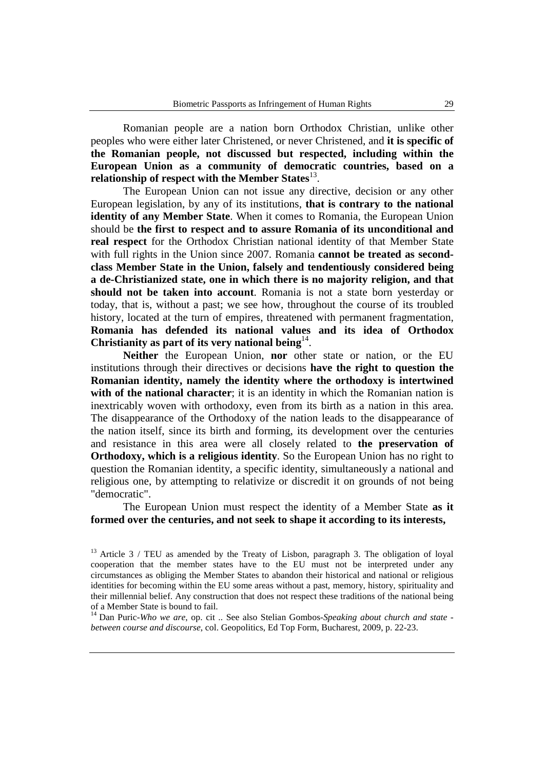Romanian people are a nation born Orthodox Christian, unlike other peoples who were either later Christened, or never Christened, and **it is specific of the Romanian people, not discussed but respected, including within the European Union as a community of democratic countries, based on a**  relationship of respect with the Member States<sup>13</sup>.

The European Union can not issue any directive, decision or any other European legislation, by any of its institutions, **that is contrary to the national identity of any Member State**. When it comes to Romania, the European Union should be **the first to respect and to assure Romania of its unconditional and real respect** for the Orthodox Christian national identity of that Member State with full rights in the Union since 2007. Romania **cannot be treated as secondclass Member State in the Union, falsely and tendentiously considered being a de-Christianized state, one in which there is no majority religion, and that should not be taken into account**. Romania is not a state born yesterday or today, that is, without a past; we see how, throughout the course of its troubled history, located at the turn of empires, threatened with permanent fragmentation, **Romania has defended its national values and its idea of Orthodox**  Christianity as part of its very national being $14$ .

**Neither** the European Union, **nor** other state or nation, or the EU institutions through their directives or decisions **have the right to question the Romanian identity, namely the identity where the orthodoxy is intertwined with of the national character**; it is an identity in which the Romanian nation is inextricably woven with orthodoxy, even from its birth as a nation in this area. The disappearance of the Orthodoxy of the nation leads to the disappearance of the nation itself, since its birth and forming, its development over the centuries and resistance in this area were all closely related to **the preservation of Orthodoxy, which is a religious identity**. So the European Union has no right to question the Romanian identity, a specific identity, simultaneously a national and religious one, by attempting to relativize or discredit it on grounds of not being "democratic".

The European Union must respect the identity of a Member State **as it formed over the centuries, and not seek to shape it according to its interests,** 

<sup>14</sup> Dan Puric-*Who we are*, op. cit .. See also Stelian Gombos-*Speaking about church and state between course and discourse*, col. Geopolitics, Ed Top Form, Bucharest, 2009, p. 22-23.

 $13$  Article 3 / TEU as amended by the Treaty of Lisbon, paragraph 3. The obligation of loyal cooperation that the member states have to the EU must not be interpreted under any circumstances as obliging the Member States to abandon their historical and national or religious identities for becoming within the EU some areas without a past, memory, history, spirituality and their millennial belief. Any construction that does not respect these traditions of the national being of a Member State is bound to fail.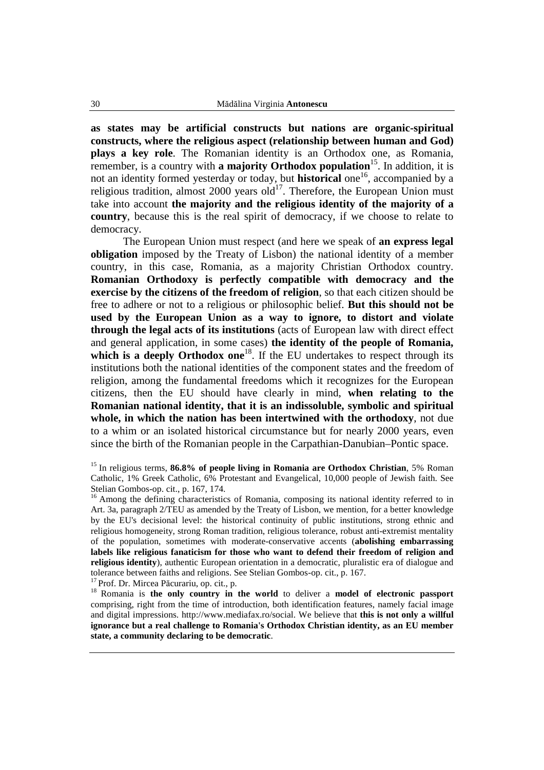**as states may be artificial constructs but nations are organic-spiritual constructs, where the religious aspect (relationship between human and God) plays a key role**. The Romanian identity is an Orthodox one, as Romania, remember, is a country with **a majority Orthodox population**<sup>15</sup>. In addition, it is not an identity formed yesterday or today, but **historical** one<sup>16</sup>, accompanied by a religious tradition, almost 2000 years old $^{17}$ . Therefore, the European Union must take into account **the majority and the religious identity of the majority of a country**, because this is the real spirit of democracy, if we choose to relate to democracy.

The European Union must respect (and here we speak of **an express legal obligation** imposed by the Treaty of Lisbon) the national identity of a member country, in this case, Romania, as a majority Christian Orthodox country. **Romanian Orthodoxy is perfectly compatible with democracy and the exercise by the citizens of the freedom of religion**, so that each citizen should be free to adhere or not to a religious or philosophic belief. **But this should not be used by the European Union as a way to ignore, to distort and violate through the legal acts of its institutions** (acts of European law with direct effect and general application, in some cases) **the identity of the people of Romania,**  which is a deeply Orthodox one<sup>18</sup>. If the EU undertakes to respect through its institutions both the national identities of the component states and the freedom of religion, among the fundamental freedoms which it recognizes for the European citizens, then the EU should have clearly in mind, **when relating to the Romanian national identity, that it is an indissoluble, symbolic and spiritual whole, in which the nation has been intertwined with the orthodoxy**, not due to a whim or an isolated historical circumstance but for nearly 2000 years, even since the birth of the Romanian people in the Carpathian-Danubian–Pontic space.

<sup>15</sup> In religious terms, **86.8% of people living in Romania are Orthodox Christian**, 5% Roman Catholic, 1% Greek Catholic, 6% Protestant and Evangelical, 10,000 people of Jewish faith. See Stelian Gombos-op. cit., p. 167, 174.

<sup>16</sup> Among the defining characteristics of Romania, composing its national identity referred to in Art. 3a, paragraph 2/TEU as amended by the Treaty of Lisbon, we mention, for a better knowledge by the EU's decisional level: the historical continuity of public institutions, strong ethnic and religious homogeneity, strong Roman tradition, religious tolerance, robust anti-extremist mentality of the population, sometimes with moderate-conservative accents (**abolishing embarrassing labels like religious fanaticism for those who want to defend their freedom of religion and religious identity**), authentic European orientation in a democratic, pluralistic era of dialogue and tolerance between faiths and religions. See Stelian Gombos-op. cit., p. 167.

<sup>17</sup> Prof. Dr. Mircea Păcurariu, op. cit., p.

<sup>18</sup> Romania is the only country in the world to deliver a model of electronic passport comprising, right from the time of introduction, both identification features, namely facial image and digital impressions. http://www.mediafax.ro/social. We believe that **this is not only a willful ignorance but a real challenge to Romania's Orthodox Christian identity, as an EU member state, a community declaring to be democratic**.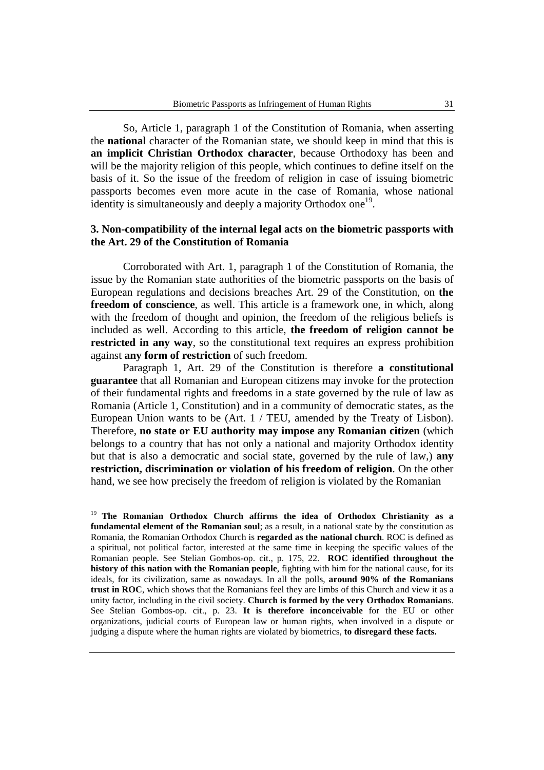So, Article 1, paragraph 1 of the Constitution of Romania, when asserting the **national** character of the Romanian state, we should keep in mind that this is **an implicit Christian Orthodox character**, because Orthodoxy has been and will be the majority religion of this people, which continues to define itself on the basis of it. So the issue of the freedom of religion in case of issuing biometric passports becomes even more acute in the case of Romania, whose national identity is simultaneously and deeply a majority Orthodox one<sup>19</sup>.

#### **3. Non-compatibility of the internal legal acts on the biometric passports with the Art. 29 of the Constitution of Romania**

Corroborated with Art. 1, paragraph 1 of the Constitution of Romania, the issue by the Romanian state authorities of the biometric passports on the basis of European regulations and decisions breaches Art. 29 of the Constitution, on **the freedom of conscience**, as well. This article is a framework one, in which, along with the freedom of thought and opinion, the freedom of the religious beliefs is included as well. According to this article, **the freedom of religion cannot be restricted in any way**, so the constitutional text requires an express prohibition against **any form of restriction** of such freedom.

Paragraph 1, Art. 29 of the Constitution is therefore **a constitutional guarantee** that all Romanian and European citizens may invoke for the protection of their fundamental rights and freedoms in a state governed by the rule of law as Romania (Article 1, Constitution) and in a community of democratic states, as the European Union wants to be (Art. 1 / TEU, amended by the Treaty of Lisbon). Therefore, **no state or EU authority may impose any Romanian citizen** (which belongs to a country that has not only a national and majority Orthodox identity but that is also a democratic and social state, governed by the rule of law,) **any restriction, discrimination or violation of his freedom of religion**. On the other hand, we see how precisely the freedom of religion is violated by the Romanian

<sup>19</sup> The Romanian Orthodox Church affirms the idea of Orthodox Christianity as a **fundamental element of the Romanian soul**; as a result, in a national state by the constitution as Romania, the Romanian Orthodox Church is **regarded as the national church**. ROC is defined as a spiritual, not political factor, interested at the same time in keeping the specific values of the Romanian people. See Stelian Gombos-op. cit., p. 175, 22. **ROC identified throughout the history of this nation with the Romanian people**, fighting with him for the national cause, for its ideals, for its civilization, same as nowadays. In all the polls, **around 90% of the Romanians trust in ROC**, which shows that the Romanians feel they are limbs of this Church and view it as a unity factor, including in the civil society. **Church is formed by the very Orthodox Romanian**s. See Stelian Gombos-op. cit., p. 23. **It is therefore inconceivable** for the EU or other organizations, judicial courts of European law or human rights, when involved in a dispute or judging a dispute where the human rights are violated by biometrics, **to disregard these facts.**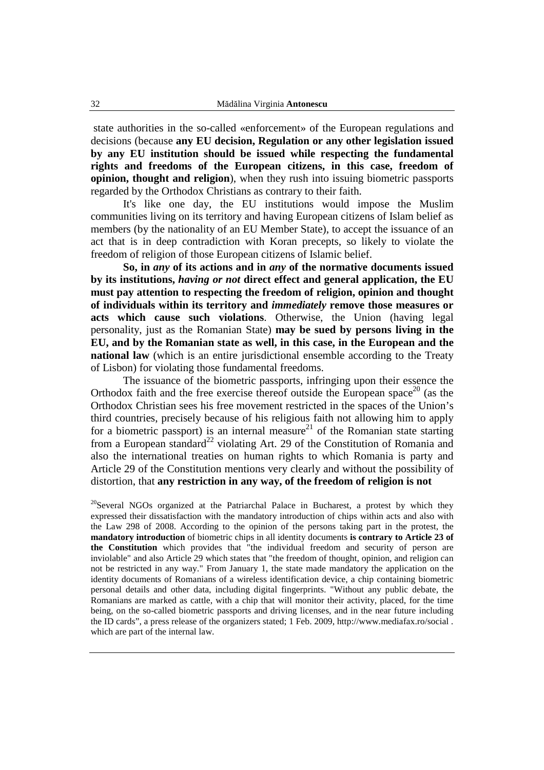state authorities in the so-called «enforcement» of the European regulations and decisions (because **any EU decision, Regulation or any other legislation issued by any EU institution should be issued while respecting the fundamental rights and freedoms of the European citizens, in this case, freedom of opinion, thought and religion**), when they rush into issuing biometric passports regarded by the Orthodox Christians as contrary to their faith.

It's like one day, the EU institutions would impose the Muslim communities living on its territory and having European citizens of Islam belief as members (by the nationality of an EU Member State), to accept the issuance of an act that is in deep contradiction with Koran precepts, so likely to violate the freedom of religion of those European citizens of Islamic belief.

**So, in** *any* **of its actions and in** *any* **of the normative documents issued by its institutions,** *having or not* **direct effect and general application, the EU must pay attention to respecting the freedom of religion, opinion and thought of individuals within its territory and** *immediately* **remove those measures or acts which cause such violations**. Otherwise, the Union (having legal personality, just as the Romanian State) **may be sued by persons living in the EU, and by the Romanian state as well, in this case, in the European and the national law** (which is an entire jurisdictional ensemble according to the Treaty of Lisbon) for violating those fundamental freedoms.

The issuance of the biometric passports, infringing upon their essence the Orthodox faith and the free exercise thereof outside the European space<sup>20</sup> (as the Orthodox Christian sees his free movement restricted in the spaces of the Union's third countries, precisely because of his religious faith not allowing him to apply for a biometric passport) is an internal measure<sup>21</sup> of the Romanian state starting from a European standard<sup>22</sup> violating Art. 29 of the Constitution of Romania and also the international treaties on human rights to which Romania is party and Article 29 of the Constitution mentions very clearly and without the possibility of distortion, that **any restriction in any way, of the freedom of religion is not** 

<sup>20</sup>Several NGOs organized at the Patriarchal Palace in Bucharest, a protest by which they expressed their dissatisfaction with the mandatory introduction of chips within acts and also with the Law 298 of 2008. According to the opinion of the persons taking part in the protest, the **mandatory introduction** of biometric chips in all identity documents **is contrary to Article 23 of the Constitution** which provides that "the individual freedom and security of person are inviolable" and also Article 29 which states that "the freedom of thought, opinion, and religion can not be restricted in any way." From January 1, the state made mandatory the application on the identity documents of Romanians of a wireless identification device, a chip containing biometric personal details and other data, including digital fingerprints. "Without any public debate, the Romanians are marked as cattle, with a chip that will monitor their activity, placed, for the time being, on the so-called biometric passports and driving licenses, and in the near future including the ID cards", a press release of the organizers stated; 1 Feb. 2009, http://www.mediafax.ro/social . which are part of the internal law.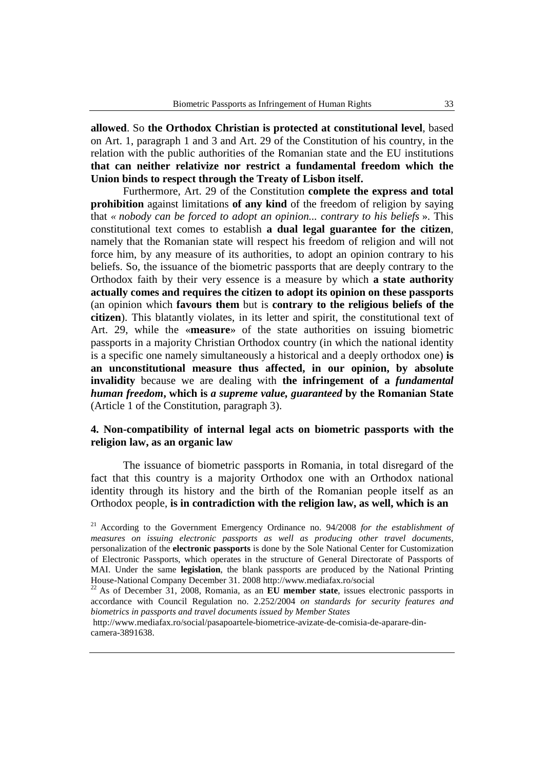**allowed**. So **the Orthodox Christian is protected at constitutional level**, based on Art. 1, paragraph 1 and 3 and Art. 29 of the Constitution of his country, in the relation with the public authorities of the Romanian state and the EU institutions **that can neither relativize nor restrict a fundamental freedom which the Union binds to respect through the Treaty of Lisbon itself.** 

Furthermore, Art. 29 of the Constitution **complete the express and total prohibition** against limitations **of any kind** of the freedom of religion by saying that *« nobody can be forced to adopt an opinion... contrary to his beliefs* ». This constitutional text comes to establish **a dual legal guarantee for the citizen**, namely that the Romanian state will respect his freedom of religion and will not force him, by any measure of its authorities, to adopt an opinion contrary to his beliefs. So, the issuance of the biometric passports that are deeply contrary to the Orthodox faith by their very essence is a measure by which **a state authority actually comes and requires the citizen to adopt its opinion on these passports** (an opinion which **favours them** but is **contrary to the religious beliefs of the citizen**). This blatantly violates, in its letter and spirit, the constitutional text of Art. 29, while the «**measure**» of the state authorities on issuing biometric passports in a majority Christian Orthodox country (in which the national identity is a specific one namely simultaneously a historical and a deeply orthodox one) **is an unconstitutional measure thus affected, in our opinion, by absolute invalidity** because we are dealing with **the infringement of a** *fundamental human freedom***, which is** *a supreme value, guaranteed* **by the Romanian State**  (Article 1 of the Constitution, paragraph 3).

#### **4. Non-compatibility of internal legal acts on biometric passports with the religion law, as an organic law**

The issuance of biometric passports in Romania, in total disregard of the fact that this country is a majority Orthodox one with an Orthodox national identity through its history and the birth of the Romanian people itself as an Orthodox people, **is in contradiction with the religion law, as well, which is an** 

<sup>&</sup>lt;sup>21</sup> According to the Government Emergency Ordinance no. 94/2008 *for the establishment of measures on issuing electronic passports as well as producing other travel documents*, personalization of the **electronic passports** is done by the Sole National Center for Customization of Electronic Passports, which operates in the structure of General Directorate of Passports of MAI. Under the same **legislation**, the blank passports are produced by the National Printing House-National Company December 31. 2008 http://www.mediafax.ro/social

<sup>22</sup>As of December 31, 2008, Romania, as an **EU member state**, issues electronic passports in accordance with Council Regulation no. 2.252/2004 *on standards for security features and biometrics in passports and travel documents issued by Member States* 

http://www.mediafax.ro/social/pasapoartele-biometrice-avizate-de-comisia-de-aparare-dincamera-3891638.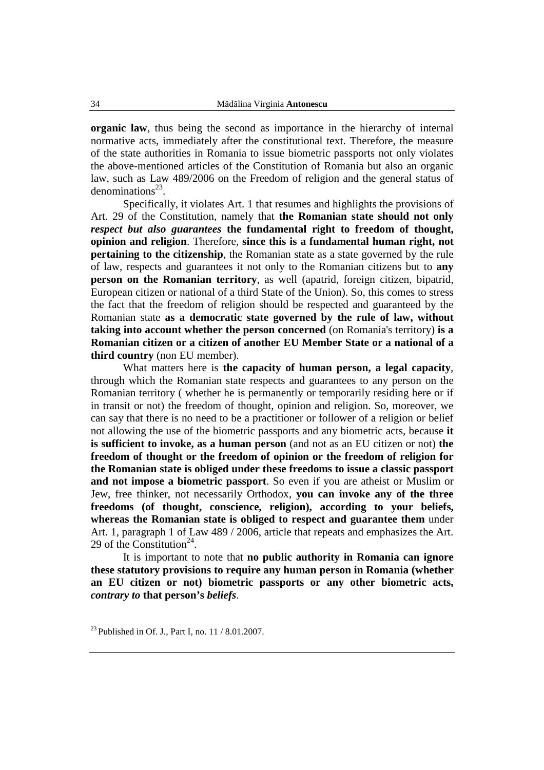**organic law**, thus being the second as importance in the hierarchy of internal normative acts, immediately after the constitutional text. Therefore, the measure of the state authorities in Romania to issue biometric passports not only violates the above-mentioned articles of the Constitution of Romania but also an organic law, such as Law 489/2006 on the Freedom of religion and the general status of denominations $^{23}$ .

Specifically, it violates Art. 1 that resumes and highlights the provisions of Art. 29 of the Constitution, namely that **the Romanian state should not only**  *respect but also guarantees* **the fundamental right to freedom of thought, opinion and religion**. Therefore, **since this is a fundamental human right, not pertaining to the citizenship**, the Romanian state as a state governed by the rule of law, respects and guarantees it not only to the Romanian citizens but to **any person on the Romanian territory**, as well (apatrid, foreign citizen, bipatrid, European citizen or national of a third State of the Union). So, this comes to stress the fact that the freedom of religion should be respected and guaranteed by the Romanian state **as a democratic state governed by the rule of law, without taking into account whether the person concerned** (on Romania's territory) **is a Romanian citizen or a citizen of another EU Member State or a national of a third country** (non EU member).

What matters here is **the capacity of human person, a legal capacity**, through which the Romanian state respects and guarantees to any person on the Romanian territory ( whether he is permanently or temporarily residing here or if in transit or not) the freedom of thought, opinion and religion. So, moreover, we can say that there is no need to be a practitioner or follower of a religion or belief not allowing the use of the biometric passports and any biometric acts, because **it is sufficient to invoke, as a human person** (and not as an EU citizen or not) **the freedom of thought or the freedom of opinion or the freedom of religion for the Romanian state is obliged under these freedoms to issue a classic passport and not impose a biometric passport**. So even if you are atheist or Muslim or Jew, free thinker, not necessarily Orthodox, **you can invoke any of the three freedoms (of thought, conscience, religion), according to your beliefs, whereas the Romanian state is obliged to respect and guarantee them** under Art. 1, paragraph 1 of Law 489 / 2006, article that repeats and emphasizes the Art. 29 of the Constitution<sup>24</sup>.

It is important to note that **no public authority in Romania can ignore these statutory provisions to require any human person in Romania (whether an EU citizen or not) biometric passports or any other biometric acts,**  *contrary to* **that person's** *beliefs*.

<sup>&</sup>lt;sup>23</sup> Published in Of. J., Part I, no.  $11 / 8.01.2007$ .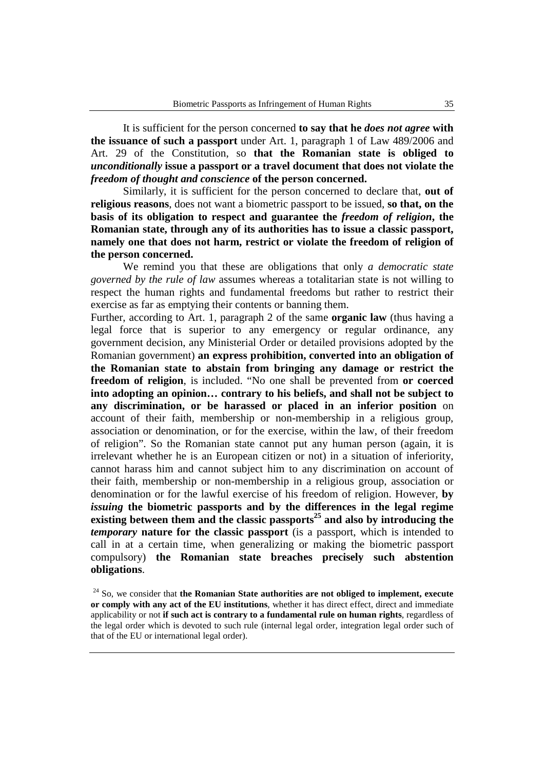It is sufficient for the person concerned **to say that he** *does not agree* **with the issuance of such a passport** under Art. 1, paragraph 1 of Law 489/2006 and Art. 29 of the Constitution, so **that the Romanian state is obliged to**  *unconditionally* **issue a passport or a travel document that does not violate the**  *freedom of thought and conscience* **of the person concerned.** 

Similarly, it is sufficient for the person concerned to declare that, **out of religious reasons**, does not want a biometric passport to be issued, **so that, on the basis of its obligation to respect and guarantee the** *freedom of religion***, the Romanian state, through any of its authorities has to issue a classic passport, namely one that does not harm, restrict or violate the freedom of religion of the person concerned.** 

We remind you that these are obligations that only *a democratic state governed by the rule of law* assumes whereas a totalitarian state is not willing to respect the human rights and fundamental freedoms but rather to restrict their exercise as far as emptying their contents or banning them.

Further, according to Art. 1, paragraph 2 of the same **organic law** (thus having a legal force that is superior to any emergency or regular ordinance, any government decision, any Ministerial Order or detailed provisions adopted by the Romanian government) **an express prohibition, converted into an obligation of the Romanian state to abstain from bringing any damage or restrict the freedom of religion**, is included. "No one shall be prevented from **or coerced into adopting an opinion… contrary to his beliefs, and shall not be subject to any discrimination, or be harassed or placed in an inferior position** on account of their faith, membership or non-membership in a religious group, association or denomination, or for the exercise, within the law, of their freedom of religion". So the Romanian state cannot put any human person (again, it is irrelevant whether he is an European citizen or not) in a situation of inferiority, cannot harass him and cannot subject him to any discrimination on account of their faith, membership or non-membership in a religious group, association or denomination or for the lawful exercise of his freedom of religion. However, **by**  *issuing* **the biometric passports and by the differences in the legal regime existing between them and the classic passports<sup>25</sup> and also by introducing the**  *temporary* **nature for the classic passport** (is a passport, which is intended to call in at a certain time, when generalizing or making the biometric passport compulsory) **the Romanian state breaches precisely such abstention obligations**.

<sup>24</sup> So, we consider that **the Romanian State authorities are not obliged to implement, execute or comply with any act of the EU institutions**, whether it has direct effect, direct and immediate applicability or not **if such act is contrary to a fundamental rule on human rights**, regardless of the legal order which is devoted to such rule (internal legal order, integration legal order such of that of the EU or international legal order).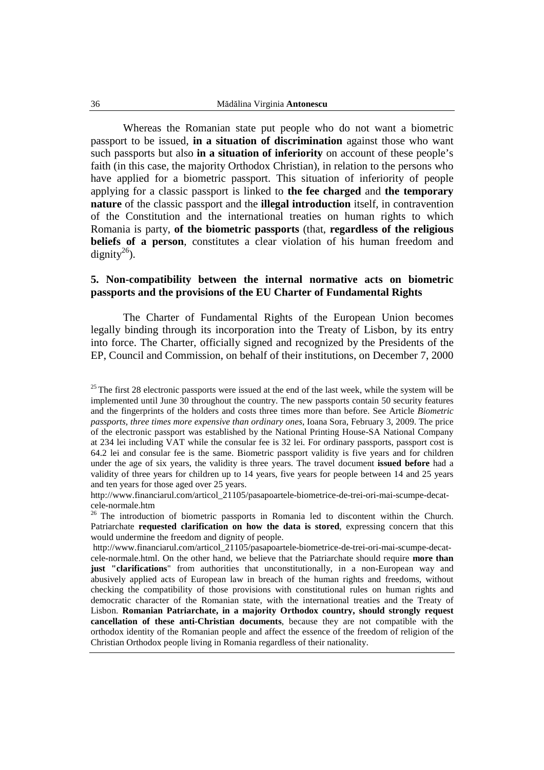Whereas the Romanian state put people who do not want a biometric passport to be issued, **in a situation of discrimination** against those who want such passports but also **in a situation of inferiority** on account of these people's faith (in this case, the majority Orthodox Christian), in relation to the persons who have applied for a biometric passport. This situation of inferiority of people applying for a classic passport is linked to **the fee charged** and **the temporary nature** of the classic passport and the **illegal introduction** itself, in contravention of the Constitution and the international treaties on human rights to which Romania is party, **of the biometric passports** (that, **regardless of the religious beliefs of a person**, constitutes a clear violation of his human freedom and  $d$ ignity<sup>26</sup>).

#### **5. Non-compatibility between the internal normative acts on biometric passports and the provisions of the EU Charter of Fundamental Rights**

The Charter of Fundamental Rights of the European Union becomes legally binding through its incorporation into the Treaty of Lisbon, by its entry into force. The Charter, officially signed and recognized by the Presidents of the EP, Council and Commission, on behalf of their institutions, on December 7, 2000

 $25$ The first 28 electronic passports were issued at the end of the last week, while the system will be implemented until June 30 throughout the country. The new passports contain 50 security features and the fingerprints of the holders and costs three times more than before. See Article *Biometric passports, three times more expensive than ordinary ones*, Ioana Sora, February 3, 2009. The price of the electronic passport was established by the National Printing House-SA National Company at 234 lei including VAT while the consular fee is 32 lei. For ordinary passports, passport cost is 64.2 lei and consular fee is the same. Biometric passport validity is five years and for children under the age of six years, the validity is three years. The travel document **issued before** had a validity of three years for children up to 14 years, five years for people between 14 and 25 years and ten years for those aged over 25 years.

http://www.financiarul.com/articol\_21105/pasapoartele-biometrice-de-trei-ori-mai-scumpe-decatcele-normale.htm

<sup>&</sup>lt;sup>26</sup> The introduction of biometric passports in Romania led to discontent within the Church. Patriarchate **requested clarification on how the data is stored**, expressing concern that this would undermine the freedom and dignity of people.

http://www.financiarul.com/articol\_21105/pasapoartele-biometrice-de-trei-ori-mai-scumpe-decatcele-normale.html. On the other hand, we believe that the Patriarchate should require **more than just "clarifications**" from authorities that unconstitutionally, in a non-European way and abusively applied acts of European law in breach of the human rights and freedoms, without checking the compatibility of those provisions with constitutional rules on human rights and democratic character of the Romanian state, with the international treaties and the Treaty of Lisbon. **Romanian Patriarchate, in a majority Orthodox country, should strongly request cancellation of these anti-Christian documents**, because they are not compatible with the orthodox identity of the Romanian people and affect the essence of the freedom of religion of the Christian Orthodox people living in Romania regardless of their nationality.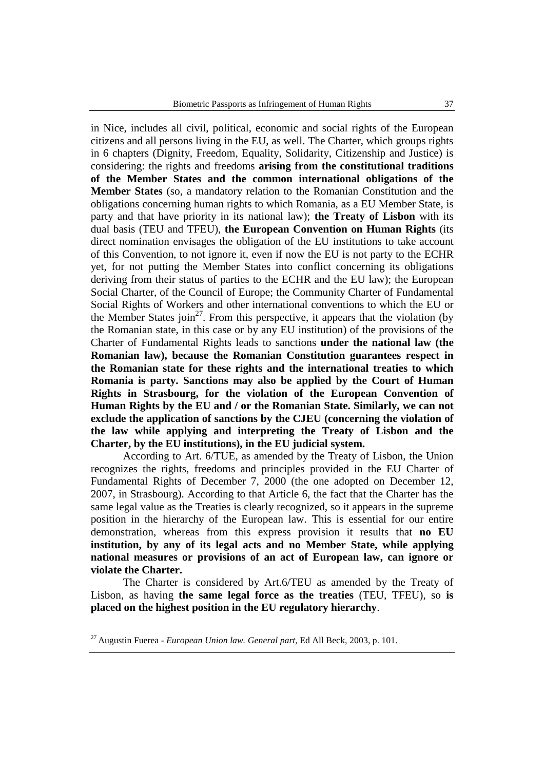in Nice, includes all civil, political, economic and social rights of the European citizens and all persons living in the EU, as well. The Charter, which groups rights in 6 chapters (Dignity, Freedom, Equality, Solidarity, Citizenship and Justice) is considering: the rights and freedoms **arising from the constitutional traditions of the Member States and the common international obligations of the Member States** (so, a mandatory relation to the Romanian Constitution and the obligations concerning human rights to which Romania, as a EU Member State, is party and that have priority in its national law); **the Treaty of Lisbon** with its dual basis (TEU and TFEU), **the European Convention on Human Rights** (its direct nomination envisages the obligation of the EU institutions to take account of this Convention, to not ignore it, even if now the EU is not party to the ECHR yet, for not putting the Member States into conflict concerning its obligations deriving from their status of parties to the ECHR and the EU law); the European Social Charter, of the Council of Europe; the Community Charter of Fundamental Social Rights of Workers and other international conventions to which the EU or the Member States join<sup>27</sup>. From this perspective, it appears that the violation (by the Romanian state, in this case or by any EU institution) of the provisions of the Charter of Fundamental Rights leads to sanctions **under the national law (the Romanian law), because the Romanian Constitution guarantees respect in the Romanian state for these rights and the international treaties to which Romania is party. Sanctions may also be applied by the Court of Human Rights in Strasbourg, for the violation of the European Convention of Human Rights by the EU and / or the Romanian State. Similarly, we can not exclude the application of sanctions by the CJEU (concerning the violation of the law while applying and interpreting the Treaty of Lisbon and the Charter, by the EU institutions), in the EU judicial system.** 

According to Art. 6/TUE, as amended by the Treaty of Lisbon, the Union recognizes the rights, freedoms and principles provided in the EU Charter of Fundamental Rights of December 7, 2000 (the one adopted on December 12, 2007, in Strasbourg). According to that Article 6, the fact that the Charter has the same legal value as the Treaties is clearly recognized, so it appears in the supreme position in the hierarchy of the European law. This is essential for our entire demonstration, whereas from this express provision it results that **no EU institution, by any of its legal acts and no Member State, while applying national measures or provisions of an act of European law, can ignore or violate the Charter.** 

The Charter is considered by Art.6/TEU as amended by the Treaty of Lisbon, as having **the same legal force as the treaties** (TEU, TFEU), so **is placed on the highest position in the EU regulatory hierarchy**.

<sup>27</sup>Augustin Fuerea - *European Union law. General part*, Ed All Beck, 2003, p. 101.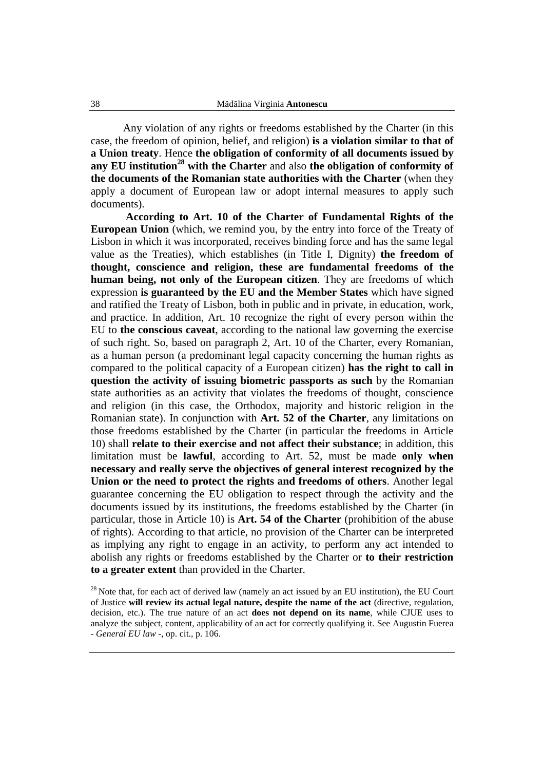Any violation of any rights or freedoms established by the Charter (in this case, the freedom of opinion, belief, and religion) **is a violation similar to that of a Union treaty**. Hence **the obligation of conformity of all documents issued by any EU institution<sup>28</sup> with the Charter** and also **the obligation of conformity of the documents of the Romanian state authorities with the Charter** (when they apply a document of European law or adopt internal measures to apply such documents).

**According to Art. 10 of the Charter of Fundamental Rights of the European Union** (which, we remind you, by the entry into force of the Treaty of Lisbon in which it was incorporated, receives binding force and has the same legal value as the Treaties), which establishes (in Title I, Dignity) **the freedom of thought, conscience and religion, these are fundamental freedoms of the human being, not only of the European citizen**. They are freedoms of which expression **is guaranteed by the EU and the Member States** which have signed and ratified the Treaty of Lisbon, both in public and in private, in education, work, and practice. In addition, Art. 10 recognize the right of every person within the EU to **the conscious caveat**, according to the national law governing the exercise of such right. So, based on paragraph 2, Art. 10 of the Charter, every Romanian, as a human person (a predominant legal capacity concerning the human rights as compared to the political capacity of a European citizen) **has the right to call in question the activity of issuing biometric passports as such** by the Romanian state authorities as an activity that violates the freedoms of thought, conscience and religion (in this case, the Orthodox, majority and historic religion in the Romanian state). In conjunction with **Art. 52 of the Charter**, any limitations on those freedoms established by the Charter (in particular the freedoms in Article 10) shall **relate to their exercise and not affect their substance**; in addition, this limitation must be **lawful**, according to Art. 52, must be made **only when necessary and really serve the objectives of general interest recognized by the Union or the need to protect the rights and freedoms of others**. Another legal guarantee concerning the EU obligation to respect through the activity and the documents issued by its institutions, the freedoms established by the Charter (in particular, those in Article 10) is **Art. 54 of the Charter** (prohibition of the abuse of rights). According to that article, no provision of the Charter can be interpreted as implying any right to engage in an activity, to perform any act intended to abolish any rights or freedoms established by the Charter or **to their restriction to a greater extent** than provided in the Charter.

 $28$  Note that, for each act of derived law (namely an act issued by an EU institution), the EU Court of Justice **will review its actual legal nature, despite the name of the act** (directive, regulation, decision, etc.). The true nature of an act **does not depend on its name**, while CJUE uses to analyze the subject, content, applicability of an act for correctly qualifying it. See Augustin Fuerea - *General EU law* -, op. cit., p. 106.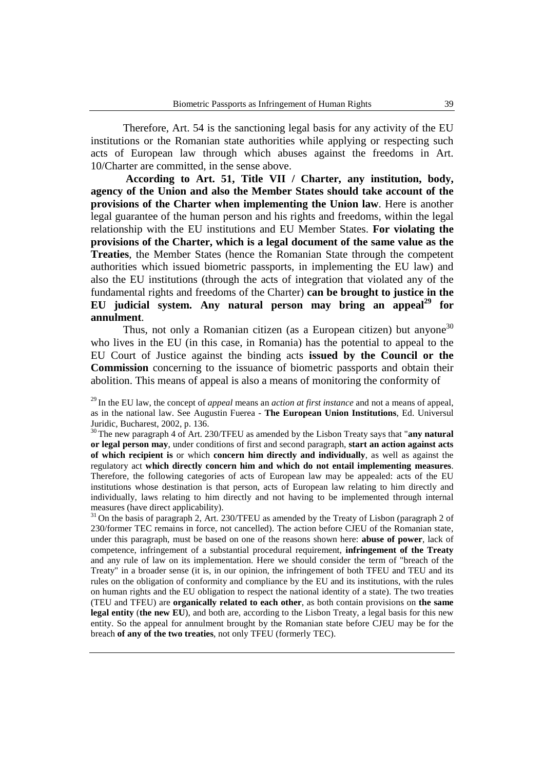Therefore, Art. 54 is the sanctioning legal basis for any activity of the EU institutions or the Romanian state authorities while applying or respecting such acts of European law through which abuses against the freedoms in Art. 10/Charter are committed, in the sense above.

**According to Art. 51, Title VII / Charter, any institution, body, agency of the Union and also the Member States should take account of the provisions of the Charter when implementing the Union law**. Here is another legal guarantee of the human person and his rights and freedoms, within the legal relationship with the EU institutions and EU Member States. **For violating the provisions of the Charter, which is a legal document of the same value as the Treaties**, the Member States (hence the Romanian State through the competent authorities which issued biometric passports, in implementing the EU law) and also the EU institutions (through the acts of integration that violated any of the fundamental rights and freedoms of the Charter) **can be brought to justice in the EU judicial system. Any natural person may bring an appeal<sup>29</sup> for annulment**.

Thus, not only a Romanian citizen (as a European citizen) but anyone<sup>30</sup> who lives in the EU (in this case, in Romania) has the potential to appeal to the EU Court of Justice against the binding acts **issued by the Council or the Commission** concerning to the issuance of biometric passports and obtain their abolition. This means of appeal is also a means of monitoring the conformity of

<sup>30</sup>The new paragraph 4 of Art. 230/TFEU as amended by the Lisbon Treaty says that "**any natural or legal person may**, under conditions of first and second paragraph, **start an action against acts of which recipient is** or which **concern him directly and individually**, as well as against the regulatory act **which directly concern him and which do not entail implementing measures**. Therefore, the following categories of acts of European law may be appealed: acts of the EU institutions whose destination is that person, acts of European law relating to him directly and individually, laws relating to him directly and not having to be implemented through internal measures (have direct applicability).

 $31$ On the basis of paragraph 2, Art. 230/TFEU as amended by the Treaty of Lisbon (paragraph 2 of 230/former TEC remains in force, not cancelled). The action before CJEU of the Romanian state, under this paragraph, must be based on one of the reasons shown here: **abuse of power**, lack of competence, infringement of a substantial procedural requirement, **infringement of the Treaty** and any rule of law on its implementation. Here we should consider the term of "breach of the Treaty" in a broader sense (it is, in our opinion, the infringement of both TFEU and TEU and its rules on the obligation of conformity and compliance by the EU and its institutions, with the rules on human rights and the EU obligation to respect the national identity of a state). The two treaties (TEU and TFEU) are **organically related to each other**, as both contain provisions on **the same legal entity** (**the new EU**), and both are, according to the Lisbon Treaty, a legal basis for this new entity. So the appeal for annulment brought by the Romanian state before CJEU may be for the breach **of any of the two treaties**, not only TFEU (formerly TEC).

<sup>29</sup>In the EU law, the concept of *appeal* means an *action at first instance* and not a means of appeal, as in the national law. See Augustin Fuerea - **The European Union Institutions**, Ed. Universul Juridic, Bucharest, 2002, p. 136.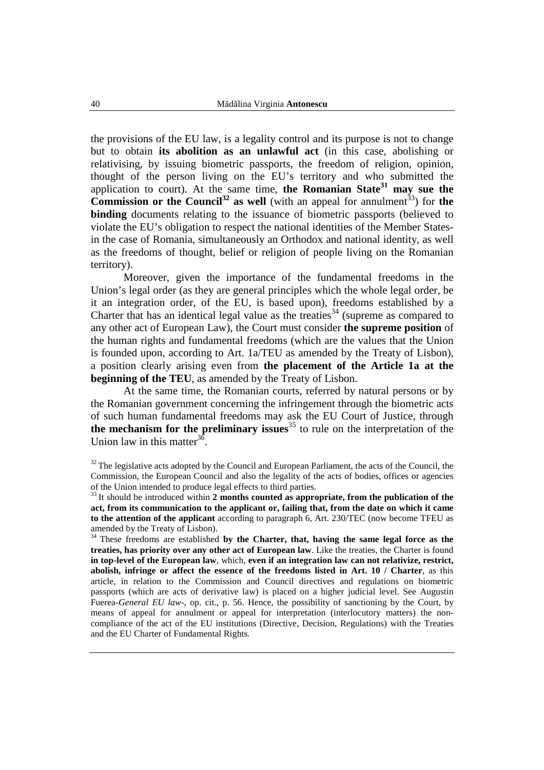the provisions of the EU law, is a legality control and its purpose is not to change but to obtain **its abolition as an unlawful act** (in this case, abolishing or relativising, by issuing biometric passports, the freedom of religion, opinion, thought of the person living on the EU's territory and who submitted the application to court). At the same time, **the Romanian State<sup>31</sup> may sue the Commission or the Council<sup>32</sup>** as well (with an appeal for annulment<sup>33</sup>) for the **binding** documents relating to the issuance of biometric passports (believed to violate the EU's obligation to respect the national identities of the Member Statesin the case of Romania, simultaneously an Orthodox and national identity, as well as the freedoms of thought, belief or religion of people living on the Romanian territory).

Moreover, given the importance of the fundamental freedoms in the Union's legal order (as they are general principles which the whole legal order, be it an integration order, of the EU, is based upon), freedoms established by a Charter that has an identical legal value as the treaties<sup>34</sup> (supreme as compared to any other act of European Law), the Court must consider **the supreme position** of the human rights and fundamental freedoms (which are the values that the Union is founded upon, according to Art. 1a/TEU as amended by the Treaty of Lisbon), a position clearly arising even from **the placement of the Article 1a at the beginning of the TEU**, as amended by the Treaty of Lisbon.

At the same time, the Romanian courts, referred by natural persons or by the Romanian government concerning the infringement through the biometric acts of such human fundamental freedoms may ask the EU Court of Justice, through **the mechanism for the preliminary issues**<sup>35</sup> to rule on the interpretation of the Union law in this matter<sup>36</sup>.

<sup>&</sup>lt;sup>32</sup> The legislative acts adopted by the Council and European Parliament, the acts of the Council, the Commission, the European Council and also the legality of the acts of bodies, offices or agencies of the Union intended to produce legal effects to third parties.

<sup>&</sup>lt;sup>33</sup> It should be introduced within **2** months counted as appropriate, from the publication of the **act, from its communication to the applicant or, failing that, from the date on which it came to the attention of the applicant** according to paragraph 6, Art. 230/TEC (now become TFEU as amended by the Treaty of Lisbon).

<sup>&</sup>lt;sup>34</sup> These freedoms are established by the Charter, that, having the same legal force as the **treaties, has priority over any other act of European law**. Like the treaties, the Charter is found **in top-level of the European law**, which, **even if an integration law can not relativize, restrict, abolish, infringe or affect the essence of the freedoms listed in Art. 10 / Charter**, as this article, in relation to the Commission and Council directives and regulations on biometric passports (which are acts of derivative law) is placed on a higher judicial level. See Augustin Fuerea-*General EU law*-, op. cit., p. 56. Hence, the possibility of sanctioning by the Court, by means of appeal for annulment or appeal for interpretation (interlocutory matters) the noncompliance of the act of the EU institutions (Directive, Decision, Regulations) with the Treaties and the EU Charter of Fundamental Rights.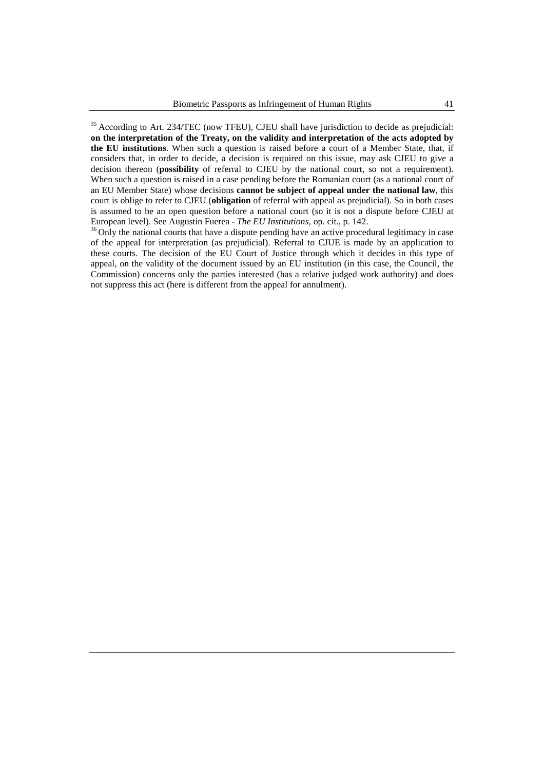<sup>35</sup> According to Art. 234/TEC (now TFEU), CJEU shall have jurisdiction to decide as prejudicial: **on the interpretation of the Treaty, on the validity and interpretation of the acts adopted by the EU institutions**. When such a question is raised before a court of a Member State, that, if considers that, in order to decide, a decision is required on this issue, may ask CJEU to give a decision thereon (**possibility** of referral to CJEU by the national court, so not a requirement). When such a question is raised in a case pending before the Romanian court (as a national court of an EU Member State) whose decisions **cannot be subject of appeal under the national law**, this court is oblige to refer to CJEU (**obligation** of referral with appeal as prejudicial). So in both cases is assumed to be an open question before a national court (so it is not a dispute before CJEU at European level). See Augustin Fuerea - *The EU Institutions*, op. cit., p. 142.

<sup>36</sup> Only the national courts that have a dispute pending have an active procedural legitimacy in case of the appeal for interpretation (as prejudicial). Referral to CJUE is made by an application to these courts. The decision of the EU Court of Justice through which it decides in this type of appeal, on the validity of the document issued by an EU institution (in this case, the Council, the Commission) concerns only the parties interested (has a relative judged work authority) and does not suppress this act (here is different from the appeal for annulment).